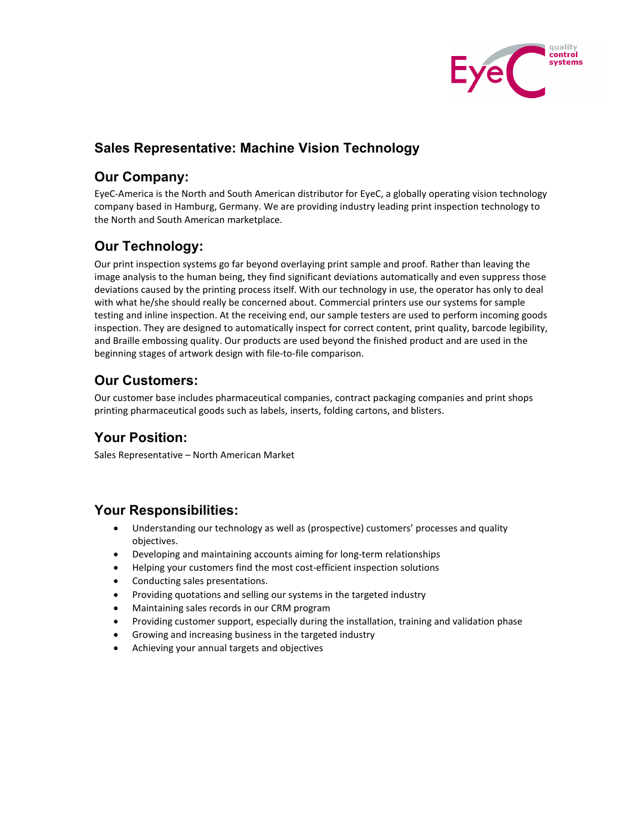

## **Sales Representative: Machine Vision Technology**

#### **Our Company:**

EyeC-America is the North and South American distributor for EyeC, a globally operating vision technology company based in Hamburg, Germany. We are providing industry leading print inspection technology to the North and South American marketplace.

## **Our Technology:**

Our print inspection systems go far beyond overlaying print sample and proof. Rather than leaving the image analysis to the human being, they find significant deviations automatically and even suppress those deviations caused by the printing process itself. With our technology in use, the operator has only to deal with what he/she should really be concerned about. Commercial printers use our systems for sample testing and inline inspection. At the receiving end, our sample testers are used to perform incoming goods inspection. They are designed to automatically inspect for correct content, print quality, barcode legibility, and Braille embossing quality. Our products are used beyond the finished product and are used in the beginning stages of artwork design with file-to-file comparison.

# **Our Customers:**

Our customer base includes pharmaceutical companies, contract packaging companies and print shops printing pharmaceutical goods such as labels, inserts, folding cartons, and blisters.

## **Your Position:**

Sales Representative – North American Market

#### **Your Responsibilities:**

- Understanding our technology as well as (prospective) customers' processes and quality objectives.
- Developing and maintaining accounts aiming for long-term relationships
- Helping your customers find the most cost-efficient inspection solutions
- Conducting sales presentations.
- Providing quotations and selling our systems in the targeted industry
- Maintaining sales records in our CRM program
- Providing customer support, especially during the installation, training and validation phase
- Growing and increasing business in the targeted industry
- Achieving your annual targets and objectives